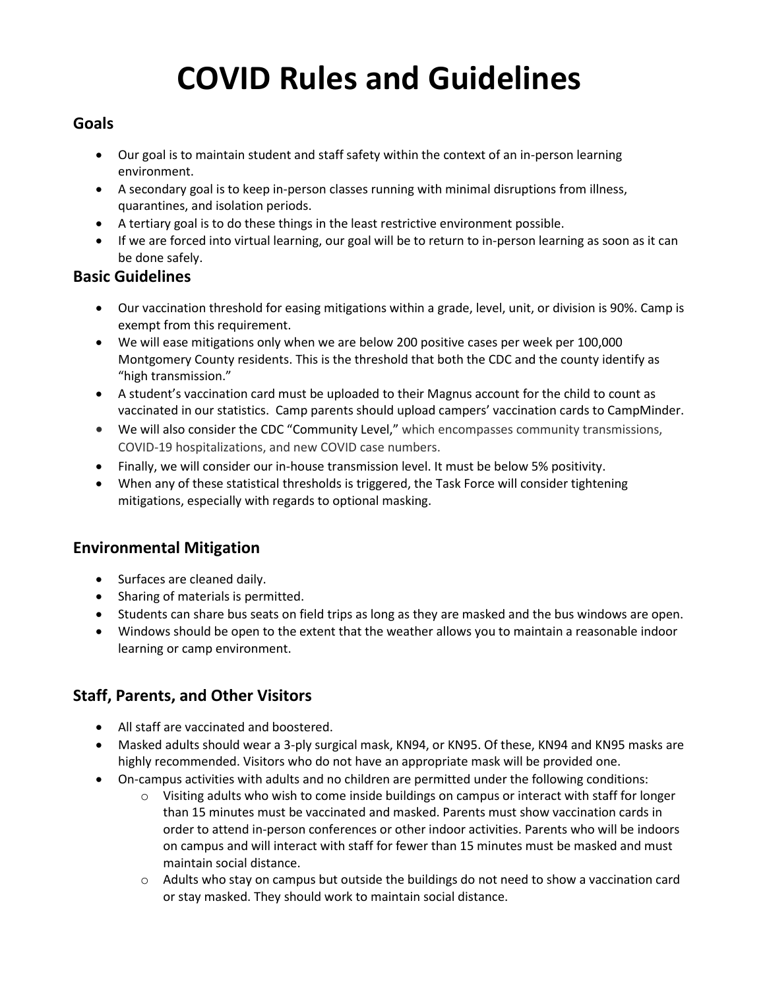# **COVID Rules and Guidelines**

## **Goals**

- Our goal is to maintain student and staff safety within the context of an in-person learning environment.
- A secondary goal is to keep in-person classes running with minimal disruptions from illness, quarantines, and isolation periods.
- A tertiary goal is to do these things in the least restrictive environment possible.
- If we are forced into virtual learning, our goal will be to return to in-person learning as soon as it can be done safely.

#### **Basic Guidelines**

- Our vaccination threshold for easing mitigations within a grade, level, unit, or division is 90%. Camp is exempt from this requirement.
- We will ease mitigations only when we are below 200 positive cases per week per 100,000 Montgomery County residents. This is the threshold that both the CDC and the county identify as "high transmission."
- A student's vaccination card must be uploaded to their Magnus account for the child to count as vaccinated in our statistics. Camp parents should upload campers' vaccination cards to CampMinder.
- We will also consider the CDC "Community Level," which encompasses community transmissions, COVID-19 hospitalizations, and new COVID case numbers.
- Finally, we will consider our in-house transmission level. It must be below 5% positivity.
- When any of these statistical thresholds is triggered, the Task Force will consider tightening mitigations, especially with regards to optional masking.

# **Environmental Mitigation**

- Surfaces are cleaned daily.
- Sharing of materials is permitted.
- Students can share bus seats on field trips as long as they are masked and the bus windows are open.
- Windows should be open to the extent that the weather allows you to maintain a reasonable indoor learning or camp environment.

# **Staff, Parents, and Other Visitors**

- All staff are vaccinated and boostered.
- Masked adults should wear a 3-ply surgical mask, KN94, or KN95. Of these, KN94 and KN95 masks are highly recommended. Visitors who do not have an appropriate mask will be provided one.
- On-campus activities with adults and no children are permitted under the following conditions:
	- $\circ$  Visiting adults who wish to come inside buildings on campus or interact with staff for longer than 15 minutes must be vaccinated and masked. Parents must show vaccination cards in order to attend in-person conferences or other indoor activities. Parents who will be indoors on campus and will interact with staff for fewer than 15 minutes must be masked and must maintain social distance.
	- o Adults who stay on campus but outside the buildings do not need to show a vaccination card or stay masked. They should work to maintain social distance.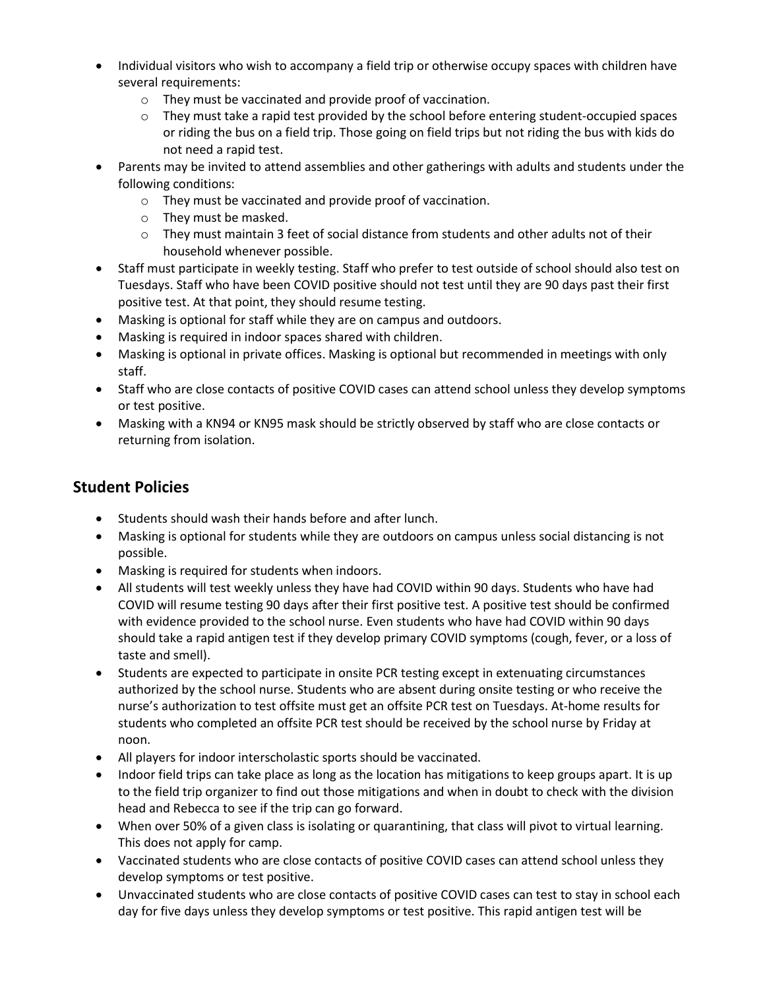- Individual visitors who wish to accompany a field trip or otherwise occupy spaces with children have several requirements:
	- o They must be vaccinated and provide proof of vaccination.
	- o They must take a rapid test provided by the school before entering student-occupied spaces or riding the bus on a field trip. Those going on field trips but not riding the bus with kids do not need a rapid test.
- Parents may be invited to attend assemblies and other gatherings with adults and students under the following conditions:
	- o They must be vaccinated and provide proof of vaccination.
	- o They must be masked.
	- o They must maintain 3 feet of social distance from students and other adults not of their household whenever possible.
- Staff must participate in weekly testing. Staff who prefer to test outside of school should also test on Tuesdays. Staff who have been COVID positive should not test until they are 90 days past their first positive test. At that point, they should resume testing.
- Masking is optional for staff while they are on campus and outdoors.
- Masking is required in indoor spaces shared with children.
- Masking is optional in private offices. Masking is optional but recommended in meetings with only staff.
- Staff who are close contacts of positive COVID cases can attend school unless they develop symptoms or test positive.
- Masking with a KN94 or KN95 mask should be strictly observed by staff who are close contacts or returning from isolation.

## **Student Policies**

- Students should wash their hands before and after lunch.
- Masking is optional for students while they are outdoors on campus unless social distancing is not possible.
- Masking is required for students when indoors.
- All students will test weekly unless they have had COVID within 90 days. Students who have had COVID will resume testing 90 days after their first positive test. A positive test should be confirmed with evidence provided to the school nurse. Even students who have had COVID within 90 days should take a rapid antigen test if they develop primary COVID symptoms (cough, fever, or a loss of taste and smell).
- Students are expected to participate in onsite PCR testing except in extenuating circumstances authorized by the school nurse. Students who are absent during onsite testing or who receive the nurse's authorization to test offsite must get an offsite PCR test on Tuesdays. At-home results for students who completed an offsite PCR test should be received by the school nurse by Friday at noon.
- All players for indoor interscholastic sports should be vaccinated.
- Indoor field trips can take place as long as the location has mitigations to keep groups apart. It is up to the field trip organizer to find out those mitigations and when in doubt to check with the division head and Rebecca to see if the trip can go forward.
- When over 50% of a given class is isolating or quarantining, that class will pivot to virtual learning. This does not apply for camp.
- Vaccinated students who are close contacts of positive COVID cases can attend school unless they develop symptoms or test positive.
- Unvaccinated students who are close contacts of positive COVID cases can test to stay in school each day for five days unless they develop symptoms or test positive. This rapid antigen test will be